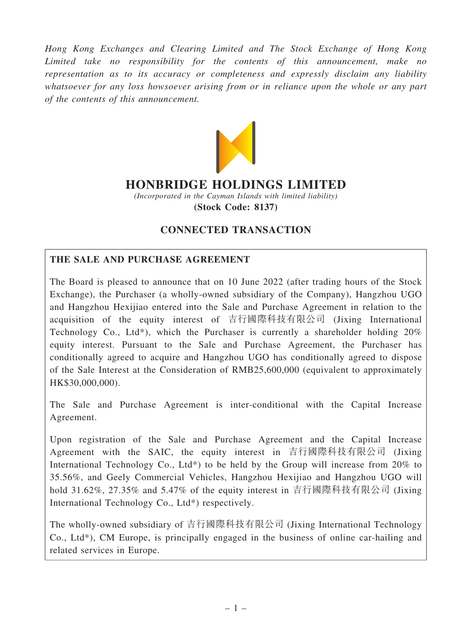Hong Kong Exchanges and Clearing Limited and The Stock Exchange of Hong Kong Limited take no responsibility for the contents of this announcement, make no representation as to its accuracy or completeness and expressly disclaim any liability whatsoever for any loss howsoever arising from or in reliance upon the whole or any part of the contents of this announcement.



# HONBRIDGE HOLDINGS LIMITED

(Incorporated in the Cayman Islands with limited liability) (Stock Code: 8137)

# CONNECTED TRANSACTION

# THE SALE AND PURCHASE AGREEMENT

The Board is pleased to announce that on 10 June 2022 (after trading hours of the Stock Exchange), the Purchaser (a wholly-owned subsidiary of the Company), Hangzhou UGO and Hangzhou Hexijiao entered into the Sale and Purchase Agreement in relation to the acquisition of the equity interest of 吉行國際科技有限公司 (Jixing International Technology Co., Ltd\*), which the Purchaser is currently a shareholder holding 20% equity interest. Pursuant to the Sale and Purchase Agreement, the Purchaser has conditionally agreed to acquire and Hangzhou UGO has conditionally agreed to dispose of the Sale Interest at the Consideration of RMB25,600,000 (equivalent to approximately HK\$30,000,000).

The Sale and Purchase Agreement is inter-conditional with the Capital Increase Agreement.

Upon registration of the Sale and Purchase Agreement and the Capital Increase Agreement with the SAIC, the equity interest in 吉行國際科技有限公司 (Jixing International Technology Co., Ltd<sup>\*</sup>) to be held by the Group will increase from 20% to 35.56%, and Geely Commercial Vehicles, Hangzhou Hexijiao and Hangzhou UGO will hold 31.62%, 27.35% and 5.47% of the equity interest in 吉行國際科技有限公司 (Jixing International Technology Co., Ltd\*) respectively.

The wholly-owned subsidiary of 吉行國際科技有限公司 (Jixing International Technology Co., Ltd\*), CM Europe, is principally engaged in the business of online car-hailing and related services in Europe.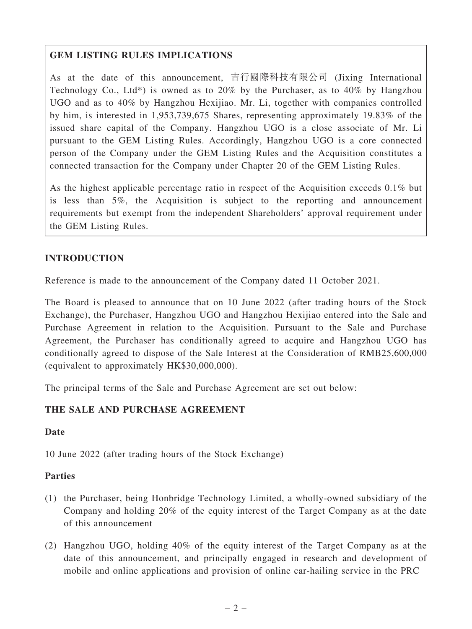# GEM LISTING RULES IMPLICATIONS

As at the date of this announcement, 吉行國際科技有限公司 (Jixing International Technology Co., Ltd\*) is owned as to 20% by the Purchaser, as to 40% by Hangzhou UGO and as to 40% by Hangzhou Hexijiao. Mr. Li, together with companies controlled by him, is interested in 1,953,739,675 Shares, representing approximately 19.83% of the issued share capital of the Company. Hangzhou UGO is a close associate of Mr. Li pursuant to the GEM Listing Rules. Accordingly, Hangzhou UGO is a core connected person of the Company under the GEM Listing Rules and the Acquisition constitutes a connected transaction for the Company under Chapter 20 of the GEM Listing Rules.

As the highest applicable percentage ratio in respect of the Acquisition exceeds 0.1% but is less than 5%, the Acquisition is subject to the reporting and announcement requirements but exempt from the independent Shareholders' approval requirement under the GEM Listing Rules.

### INTRODUCTION

Reference is made to the announcement of the Company dated 11 October 2021.

The Board is pleased to announce that on 10 June 2022 (after trading hours of the Stock Exchange), the Purchaser, Hangzhou UGO and Hangzhou Hexijiao entered into the Sale and Purchase Agreement in relation to the Acquisition. Pursuant to the Sale and Purchase Agreement, the Purchaser has conditionally agreed to acquire and Hangzhou UGO has conditionally agreed to dispose of the Sale Interest at the Consideration of RMB25,600,000 (equivalent to approximately HK\$30,000,000).

The principal terms of the Sale and Purchase Agreement are set out below:

### THE SALE AND PURCHASE AGREEMENT

#### Date

10 June 2022 (after trading hours of the Stock Exchange)

#### Parties

- (1) the Purchaser, being Honbridge Technology Limited, a wholly-owned subsidiary of the Company and holding 20% of the equity interest of the Target Company as at the date of this announcement
- (2) Hangzhou UGO, holding 40% of the equity interest of the Target Company as at the date of this announcement, and principally engaged in research and development of mobile and online applications and provision of online car-hailing service in the PRC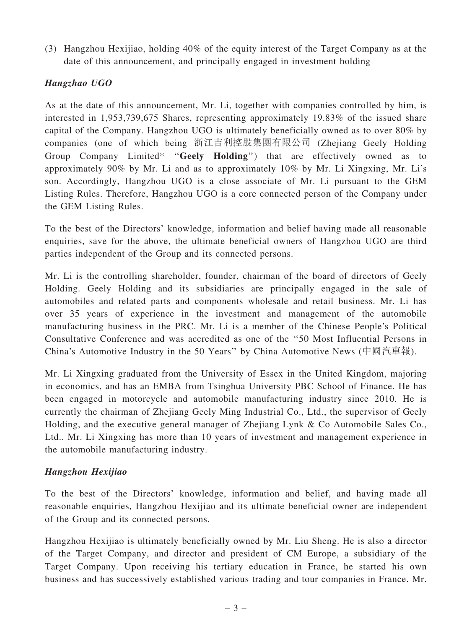(3) Hangzhou Hexijiao, holding 40% of the equity interest of the Target Company as at the date of this announcement, and principally engaged in investment holding

# Hangzhao UGO

As at the date of this announcement, Mr. Li, together with companies controlled by him, is interested in 1,953,739,675 Shares, representing approximately 19.83% of the issued share capital of the Company. Hangzhou UGO is ultimately beneficially owned as to over 80% by companies (one of which being 浙江吉利控股集團有限公司 (Zhejiang Geely Holding Group Company Limited\* "Geely Holding") that are effectively owned as to approximately 90% by Mr. Li and as to approximately 10% by Mr. Li Xingxing, Mr. Li's son. Accordingly, Hangzhou UGO is a close associate of Mr. Li pursuant to the GEM Listing Rules. Therefore, Hangzhou UGO is a core connected person of the Company under the GEM Listing Rules.

To the best of the Directors' knowledge, information and belief having made all reasonable enquiries, save for the above, the ultimate beneficial owners of Hangzhou UGO are third parties independent of the Group and its connected persons.

Mr. Li is the controlling shareholder, founder, chairman of the board of directors of Geely Holding. Geely Holding and its subsidiaries are principally engaged in the sale of automobiles and related parts and components wholesale and retail business. Mr. Li has over 35 years of experience in the investment and management of the automobile manufacturing business in the PRC. Mr. Li is a member of the Chinese People's Political Consultative Conference and was accredited as one of the ''50 Most Influential Persons in China's Automotive Industry in the 50 Years'' by China Automotive News (中國汽車報).

Mr. Li Xingxing graduated from the University of Essex in the United Kingdom, majoring in economics, and has an EMBA from Tsinghua University PBC School of Finance. He has been engaged in motorcycle and automobile manufacturing industry since 2010. He is currently the chairman of Zhejiang Geely Ming Industrial Co., Ltd., the supervisor of Geely Holding, and the executive general manager of Zhejiang Lynk & Co Automobile Sales Co., Ltd.. Mr. Li Xingxing has more than 10 years of investment and management experience in the automobile manufacturing industry.

### Hangzhou Hexijiao

To the best of the Directors' knowledge, information and belief, and having made all reasonable enquiries, Hangzhou Hexijiao and its ultimate beneficial owner are independent of the Group and its connected persons.

Hangzhou Hexijiao is ultimately beneficially owned by Mr. Liu Sheng. He is also a director of the Target Company, and director and president of CM Europe, a subsidiary of the Target Company. Upon receiving his tertiary education in France, he started his own business and has successively established various trading and tour companies in France. Mr.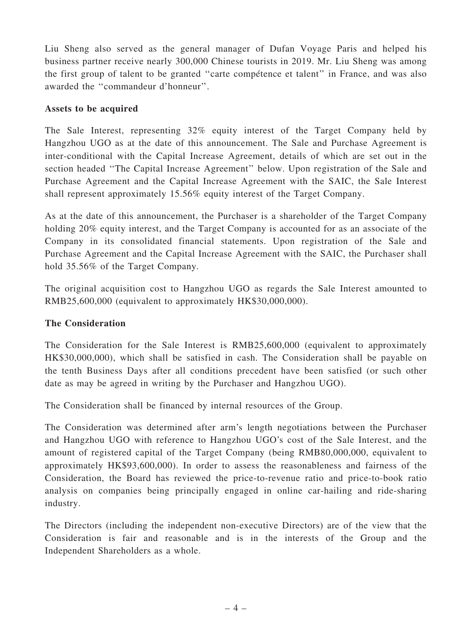Liu Sheng also served as the general manager of Dufan Voyage Paris and helped his business partner receive nearly 300,000 Chinese tourists in 2019. Mr. Liu Sheng was among the first group of talent to be granted ''carte compétence et talent'' in France, and was also awarded the ''commandeur d'honneur''.

### Assets to be acquired

The Sale Interest, representing 32% equity interest of the Target Company held by Hangzhou UGO as at the date of this announcement. The Sale and Purchase Agreement is inter-conditional with the Capital Increase Agreement, details of which are set out in the section headed ''The Capital Increase Agreement'' below. Upon registration of the Sale and Purchase Agreement and the Capital Increase Agreement with the SAIC, the Sale Interest shall represent approximately 15.56% equity interest of the Target Company.

As at the date of this announcement, the Purchaser is a shareholder of the Target Company holding 20% equity interest, and the Target Company is accounted for as an associate of the Company in its consolidated financial statements. Upon registration of the Sale and Purchase Agreement and the Capital Increase Agreement with the SAIC, the Purchaser shall hold 35.56% of the Target Company.

The original acquisition cost to Hangzhou UGO as regards the Sale Interest amounted to RMB25,600,000 (equivalent to approximately HK\$30,000,000).

### The Consideration

The Consideration for the Sale Interest is RMB25,600,000 (equivalent to approximately HK\$30,000,000), which shall be satisfied in cash. The Consideration shall be payable on the tenth Business Days after all conditions precedent have been satisfied (or such other date as may be agreed in writing by the Purchaser and Hangzhou UGO).

The Consideration shall be financed by internal resources of the Group.

The Consideration was determined after arm's length negotiations between the Purchaser and Hangzhou UGO with reference to Hangzhou UGO's cost of the Sale Interest, and the amount of registered capital of the Target Company (being RMB80,000,000, equivalent to approximately HK\$93,600,000). In order to assess the reasonableness and fairness of the Consideration, the Board has reviewed the price-to-revenue ratio and price-to-book ratio analysis on companies being principally engaged in online car-hailing and ride-sharing industry.

The Directors (including the independent non-executive Directors) are of the view that the Consideration is fair and reasonable and is in the interests of the Group and the Independent Shareholders as a whole.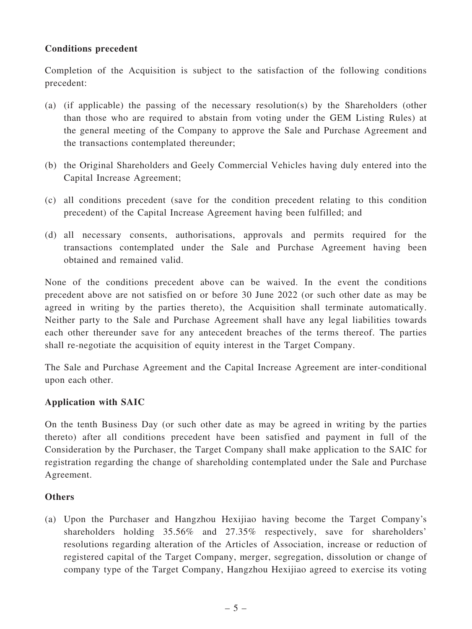### Conditions precedent

Completion of the Acquisition is subject to the satisfaction of the following conditions precedent:

- (a) (if applicable) the passing of the necessary resolution(s) by the Shareholders (other than those who are required to abstain from voting under the GEM Listing Rules) at the general meeting of the Company to approve the Sale and Purchase Agreement and the transactions contemplated thereunder;
- (b) the Original Shareholders and Geely Commercial Vehicles having duly entered into the Capital Increase Agreement;
- (c) all conditions precedent (save for the condition precedent relating to this condition precedent) of the Capital Increase Agreement having been fulfilled; and
- (d) all necessary consents, authorisations, approvals and permits required for the transactions contemplated under the Sale and Purchase Agreement having been obtained and remained valid.

None of the conditions precedent above can be waived. In the event the conditions precedent above are not satisfied on or before 30 June 2022 (or such other date as may be agreed in writing by the parties thereto), the Acquisition shall terminate automatically. Neither party to the Sale and Purchase Agreement shall have any legal liabilities towards each other thereunder save for any antecedent breaches of the terms thereof. The parties shall re-negotiate the acquisition of equity interest in the Target Company.

The Sale and Purchase Agreement and the Capital Increase Agreement are inter-conditional upon each other.

### Application with SAIC

On the tenth Business Day (or such other date as may be agreed in writing by the parties thereto) after all conditions precedent have been satisfied and payment in full of the Consideration by the Purchaser, the Target Company shall make application to the SAIC for registration regarding the change of shareholding contemplated under the Sale and Purchase Agreement.

# **Others**

(a) Upon the Purchaser and Hangzhou Hexijiao having become the Target Company's shareholders holding 35.56% and 27.35% respectively, save for shareholders' resolutions regarding alteration of the Articles of Association, increase or reduction of registered capital of the Target Company, merger, segregation, dissolution or change of company type of the Target Company, Hangzhou Hexijiao agreed to exercise its voting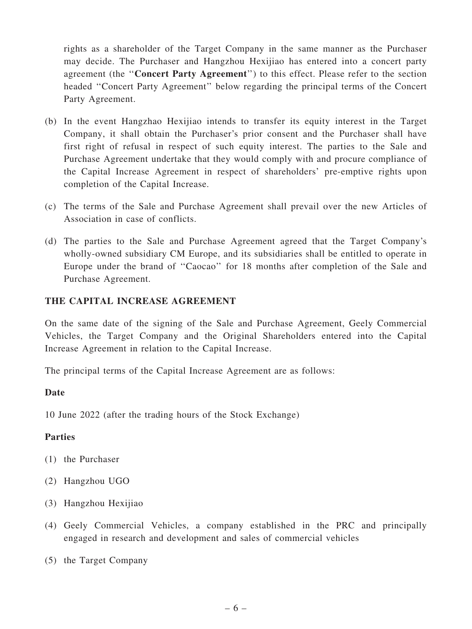rights as a shareholder of the Target Company in the same manner as the Purchaser may decide. The Purchaser and Hangzhou Hexijiao has entered into a concert party agreement (the ''Concert Party Agreement'') to this effect. Please refer to the section headed ''Concert Party Agreement'' below regarding the principal terms of the Concert Party Agreement.

- (b) In the event Hangzhao Hexijiao intends to transfer its equity interest in the Target Company, it shall obtain the Purchaser's prior consent and the Purchaser shall have first right of refusal in respect of such equity interest. The parties to the Sale and Purchase Agreement undertake that they would comply with and procure compliance of the Capital Increase Agreement in respect of shareholders' pre-emptive rights upon completion of the Capital Increase.
- (c) The terms of the Sale and Purchase Agreement shall prevail over the new Articles of Association in case of conflicts.
- (d) The parties to the Sale and Purchase Agreement agreed that the Target Company's wholly-owned subsidiary CM Europe, and its subsidiaries shall be entitled to operate in Europe under the brand of ''Caocao'' for 18 months after completion of the Sale and Purchase Agreement.

### THE CAPITAL INCREASE AGREEMENT

On the same date of the signing of the Sale and Purchase Agreement, Geely Commercial Vehicles, the Target Company and the Original Shareholders entered into the Capital Increase Agreement in relation to the Capital Increase.

The principal terms of the Capital Increase Agreement are as follows:

#### Date

10 June 2022 (after the trading hours of the Stock Exchange)

#### Parties

- (1) the Purchaser
- (2) Hangzhou UGO
- (3) Hangzhou Hexijiao
- (4) Geely Commercial Vehicles, a company established in the PRC and principally engaged in research and development and sales of commercial vehicles
- (5) the Target Company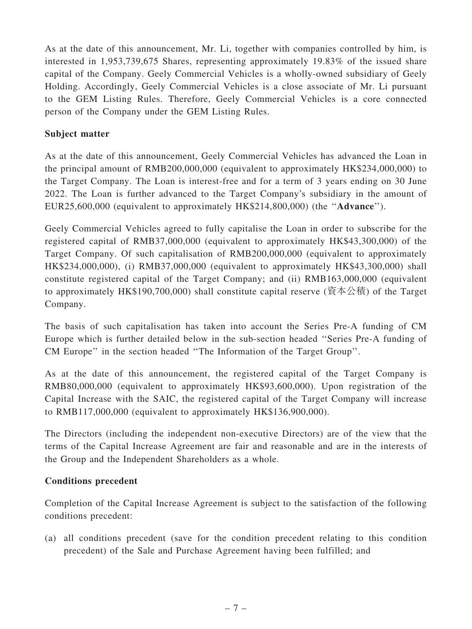As at the date of this announcement, Mr. Li, together with companies controlled by him, is interested in 1,953,739,675 Shares, representing approximately 19.83% of the issued share capital of the Company. Geely Commercial Vehicles is a wholly-owned subsidiary of Geely Holding. Accordingly, Geely Commercial Vehicles is a close associate of Mr. Li pursuant to the GEM Listing Rules. Therefore, Geely Commercial Vehicles is a core connected person of the Company under the GEM Listing Rules.

### Subject matter

As at the date of this announcement, Geely Commercial Vehicles has advanced the Loan in the principal amount of RMB200,000,000 (equivalent to approximately HK\$234,000,000) to the Target Company. The Loan is interest-free and for a term of 3 years ending on 30 June 2022. The Loan is further advanced to the Target Company's subsidiary in the amount of EUR25,600,000 (equivalent to approximately HK\$214,800,000) (the ''Advance'').

Geely Commercial Vehicles agreed to fully capitalise the Loan in order to subscribe for the registered capital of RMB37,000,000 (equivalent to approximately HK\$43,300,000) of the Target Company. Of such capitalisation of RMB200,000,000 (equivalent to approximately HK\$234,000,000), (i) RMB37,000,000 (equivalent to approximately HK\$43,300,000) shall constitute registered capital of the Target Company; and (ii) RMB163,000,000 (equivalent to approximately HK\$190,700,000) shall constitute capital reserve (資本公積) of the Target Company.

The basis of such capitalisation has taken into account the Series Pre-A funding of CM Europe which is further detailed below in the sub-section headed ''Series Pre-A funding of CM Europe'' in the section headed ''The Information of the Target Group''.

As at the date of this announcement, the registered capital of the Target Company is RMB80,000,000 (equivalent to approximately HK\$93,600,000). Upon registration of the Capital Increase with the SAIC, the registered capital of the Target Company will increase to RMB117,000,000 (equivalent to approximately HK\$136,900,000).

The Directors (including the independent non-executive Directors) are of the view that the terms of the Capital Increase Agreement are fair and reasonable and are in the interests of the Group and the Independent Shareholders as a whole.

#### Conditions precedent

Completion of the Capital Increase Agreement is subject to the satisfaction of the following conditions precedent:

(a) all conditions precedent (save for the condition precedent relating to this condition precedent) of the Sale and Purchase Agreement having been fulfilled; and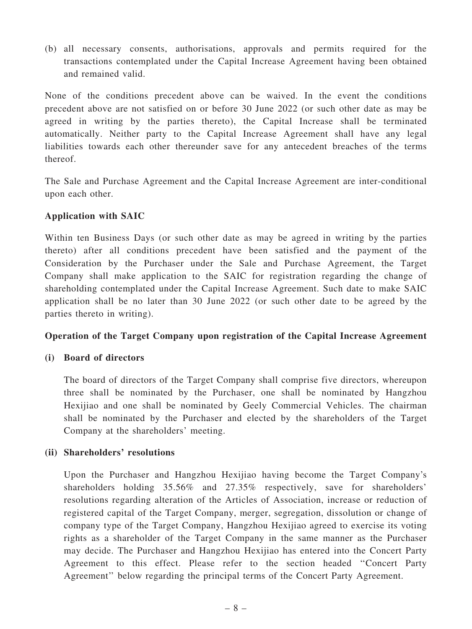(b) all necessary consents, authorisations, approvals and permits required for the transactions contemplated under the Capital Increase Agreement having been obtained and remained valid.

None of the conditions precedent above can be waived. In the event the conditions precedent above are not satisfied on or before 30 June 2022 (or such other date as may be agreed in writing by the parties thereto), the Capital Increase shall be terminated automatically. Neither party to the Capital Increase Agreement shall have any legal liabilities towards each other thereunder save for any antecedent breaches of the terms thereof.

The Sale and Purchase Agreement and the Capital Increase Agreement are inter-conditional upon each other.

### Application with SAIC

Within ten Business Days (or such other date as may be agreed in writing by the parties thereto) after all conditions precedent have been satisfied and the payment of the Consideration by the Purchaser under the Sale and Purchase Agreement, the Target Company shall make application to the SAIC for registration regarding the change of shareholding contemplated under the Capital Increase Agreement. Such date to make SAIC application shall be no later than 30 June 2022 (or such other date to be agreed by the parties thereto in writing).

### Operation of the Target Company upon registration of the Capital Increase Agreement

### (i) Board of directors

The board of directors of the Target Company shall comprise five directors, whereupon three shall be nominated by the Purchaser, one shall be nominated by Hangzhou Hexijiao and one shall be nominated by Geely Commercial Vehicles. The chairman shall be nominated by the Purchaser and elected by the shareholders of the Target Company at the shareholders' meeting.

### (ii) Shareholders' resolutions

Upon the Purchaser and Hangzhou Hexijiao having become the Target Company's shareholders holding 35.56% and 27.35% respectively, save for shareholders' resolutions regarding alteration of the Articles of Association, increase or reduction of registered capital of the Target Company, merger, segregation, dissolution or change of company type of the Target Company, Hangzhou Hexijiao agreed to exercise its voting rights as a shareholder of the Target Company in the same manner as the Purchaser may decide. The Purchaser and Hangzhou Hexijiao has entered into the Concert Party Agreement to this effect. Please refer to the section headed ''Concert Party Agreement'' below regarding the principal terms of the Concert Party Agreement.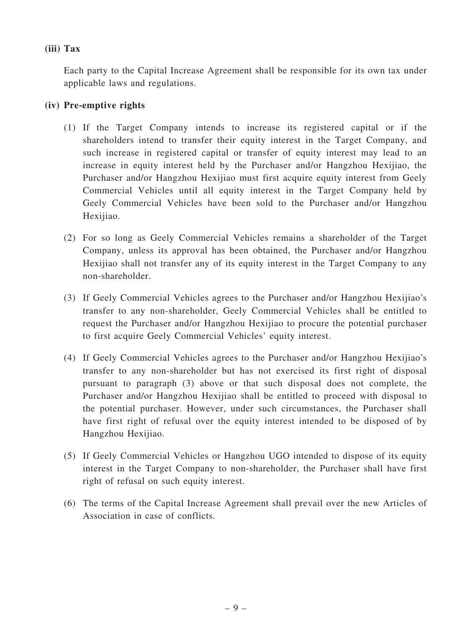### (iii) Tax

Each party to the Capital Increase Agreement shall be responsible for its own tax under applicable laws and regulations.

# (iv) Pre-emptive rights

- (1) If the Target Company intends to increase its registered capital or if the shareholders intend to transfer their equity interest in the Target Company, and such increase in registered capital or transfer of equity interest may lead to an increase in equity interest held by the Purchaser and/or Hangzhou Hexijiao, the Purchaser and/or Hangzhou Hexijiao must first acquire equity interest from Geely Commercial Vehicles until all equity interest in the Target Company held by Geely Commercial Vehicles have been sold to the Purchaser and/or Hangzhou Hexijiao.
- (2) For so long as Geely Commercial Vehicles remains a shareholder of the Target Company, unless its approval has been obtained, the Purchaser and/or Hangzhou Hexijiao shall not transfer any of its equity interest in the Target Company to any non-shareholder.
- (3) If Geely Commercial Vehicles agrees to the Purchaser and/or Hangzhou Hexijiao's transfer to any non-shareholder, Geely Commercial Vehicles shall be entitled to request the Purchaser and/or Hangzhou Hexijiao to procure the potential purchaser to first acquire Geely Commercial Vehicles' equity interest.
- (4) If Geely Commercial Vehicles agrees to the Purchaser and/or Hangzhou Hexijiao's transfer to any non-shareholder but has not exercised its first right of disposal pursuant to paragraph (3) above or that such disposal does not complete, the Purchaser and/or Hangzhou Hexijiao shall be entitled to proceed with disposal to the potential purchaser. However, under such circumstances, the Purchaser shall have first right of refusal over the equity interest intended to be disposed of by Hangzhou Hexijiao.
- (5) If Geely Commercial Vehicles or Hangzhou UGO intended to dispose of its equity interest in the Target Company to non-shareholder, the Purchaser shall have first right of refusal on such equity interest.
- (6) The terms of the Capital Increase Agreement shall prevail over the new Articles of Association in case of conflicts.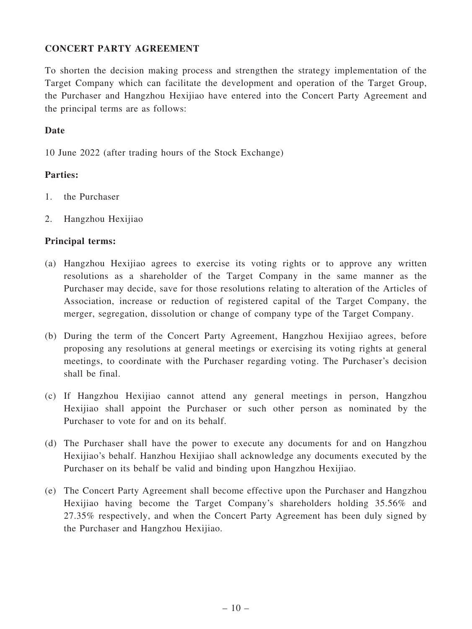### CONCERT PARTY AGREEMENT

To shorten the decision making process and strengthen the strategy implementation of the Target Company which can facilitate the development and operation of the Target Group, the Purchaser and Hangzhou Hexijiao have entered into the Concert Party Agreement and the principal terms are as follows:

### Date

10 June 2022 (after trading hours of the Stock Exchange)

### Parties:

- 1. the Purchaser
- 2. Hangzhou Hexijiao

#### Principal terms:

- (a) Hangzhou Hexijiao agrees to exercise its voting rights or to approve any written resolutions as a shareholder of the Target Company in the same manner as the Purchaser may decide, save for those resolutions relating to alteration of the Articles of Association, increase or reduction of registered capital of the Target Company, the merger, segregation, dissolution or change of company type of the Target Company.
- (b) During the term of the Concert Party Agreement, Hangzhou Hexijiao agrees, before proposing any resolutions at general meetings or exercising its voting rights at general meetings, to coordinate with the Purchaser regarding voting. The Purchaser's decision shall be final.
- (c) If Hangzhou Hexijiao cannot attend any general meetings in person, Hangzhou Hexijiao shall appoint the Purchaser or such other person as nominated by the Purchaser to vote for and on its behalf.
- (d) The Purchaser shall have the power to execute any documents for and on Hangzhou Hexijiao's behalf. Hanzhou Hexijiao shall acknowledge any documents executed by the Purchaser on its behalf be valid and binding upon Hangzhou Hexijiao.
- (e) The Concert Party Agreement shall become effective upon the Purchaser and Hangzhou Hexijiao having become the Target Company's shareholders holding 35.56% and 27.35% respectively, and when the Concert Party Agreement has been duly signed by the Purchaser and Hangzhou Hexijiao.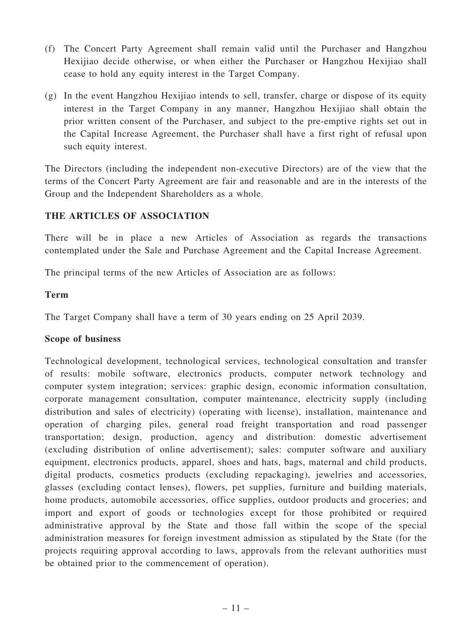- (f) The Concert Party Agreement shall remain valid until the Purchaser and Hangzhou Hexijiao decide otherwise, or when either the Purchaser or Hangzhou Hexijiao shall cease to hold any equity interest in the Target Company.
- (g) In the event Hangzhou Hexijiao intends to sell, transfer, charge or dispose of its equity interest in the Target Company in any manner, Hangzhou Hexijiao shall obtain the prior written consent of the Purchaser, and subject to the pre-emptive rights set out in the Capital Increase Agreement, the Purchaser shall have a first right of refusal upon such equity interest.

The Directors (including the independent non-executive Directors) are of the view that the terms of the Concert Party Agreement are fair and reasonable and are in the interests of the Group and the Independent Shareholders as a whole.

### THE ARTICLES OF ASSOCIATION

There will be in place a new Articles of Association as regards the transactions contemplated under the Sale and Purchase Agreement and the Capital Increase Agreement.

The principal terms of the new Articles of Association are as follows:

#### Term

The Target Company shall have a term of 30 years ending on 25 April 2039.

### Scope of business

Technological development, technological services, technological consultation and transfer of results: mobile software, electronics products, computer network technology and computer system integration; services: graphic design, economic information consultation, corporate management consultation, computer maintenance, electricity supply (including distribution and sales of electricity) (operating with license), installation, maintenance and operation of charging piles, general road freight transportation and road passenger transportation; design, production, agency and distribution: domestic advertisement (excluding distribution of online advertisement); sales: computer software and auxiliary equipment, electronics products, apparel, shoes and hats, bags, maternal and child products, digital products, cosmetics products (excluding repackaging), jewelries and accessories, glasses (excluding contact lenses), flowers, pet supplies, furniture and building materials, home products, automobile accessories, office supplies, outdoor products and groceries; and import and export of goods or technologies except for those prohibited or required administrative approval by the State and those fall within the scope of the special administration measures for foreign investment admission as stipulated by the State (for the projects requiring approval according to laws, approvals from the relevant authorities must be obtained prior to the commencement of operation).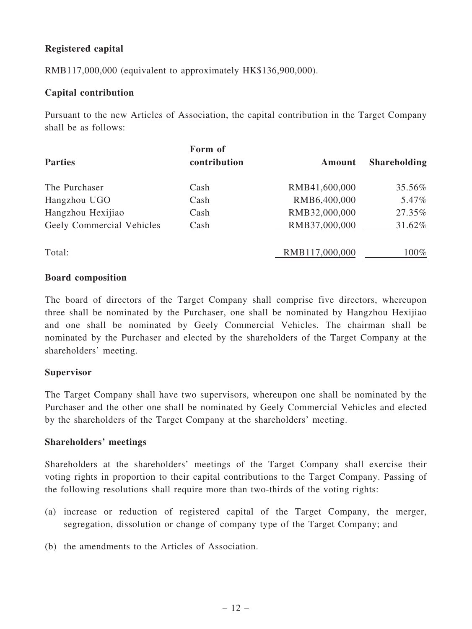# Registered capital

RMB117,000,000 (equivalent to approximately HK\$136,900,000).

#### Capital contribution

Pursuant to the new Articles of Association, the capital contribution in the Target Company shall be as follows:

| <b>Parties</b>            | Form of<br>contribution | Amount         | <b>Shareholding</b> |
|---------------------------|-------------------------|----------------|---------------------|
| The Purchaser             | Cash                    | RMB41,600,000  | 35.56%              |
| Hangzhou UGO              | Cash                    | RMB6,400,000   | 5.47%               |
| Hangzhou Hexijiao         | Cash                    | RMB32,000,000  | 27.35%              |
| Geely Commercial Vehicles | Cash                    | RMB37,000,000  | 31.62%              |
| Total:                    |                         | RMB117,000,000 | 100%                |

#### Board composition

The board of directors of the Target Company shall comprise five directors, whereupon three shall be nominated by the Purchaser, one shall be nominated by Hangzhou Hexijiao and one shall be nominated by Geely Commercial Vehicles. The chairman shall be nominated by the Purchaser and elected by the shareholders of the Target Company at the shareholders' meeting.

#### **Supervisor**

The Target Company shall have two supervisors, whereupon one shall be nominated by the Purchaser and the other one shall be nominated by Geely Commercial Vehicles and elected by the shareholders of the Target Company at the shareholders' meeting.

#### Shareholders' meetings

Shareholders at the shareholders' meetings of the Target Company shall exercise their voting rights in proportion to their capital contributions to the Target Company. Passing of the following resolutions shall require more than two-thirds of the voting rights:

- (a) increase or reduction of registered capital of the Target Company, the merger, segregation, dissolution or change of company type of the Target Company; and
- (b) the amendments to the Articles of Association.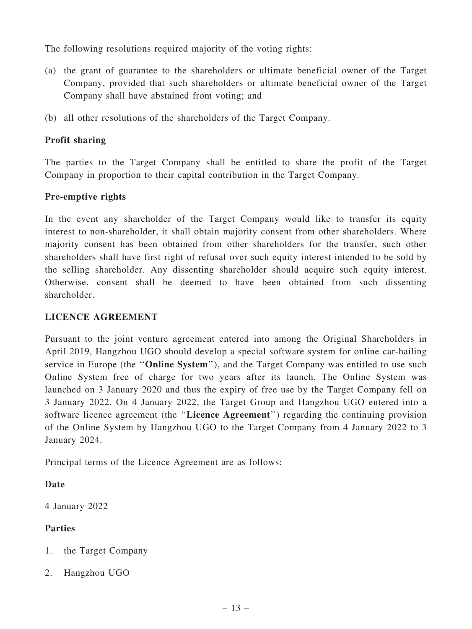The following resolutions required majority of the voting rights:

- (a) the grant of guarantee to the shareholders or ultimate beneficial owner of the Target Company, provided that such shareholders or ultimate beneficial owner of the Target Company shall have abstained from voting; and
- (b) all other resolutions of the shareholders of the Target Company.

### Profit sharing

The parties to the Target Company shall be entitled to share the profit of the Target Company in proportion to their capital contribution in the Target Company.

### Pre-emptive rights

In the event any shareholder of the Target Company would like to transfer its equity interest to non-shareholder, it shall obtain majority consent from other shareholders. Where majority consent has been obtained from other shareholders for the transfer, such other shareholders shall have first right of refusal over such equity interest intended to be sold by the selling shareholder. Any dissenting shareholder should acquire such equity interest. Otherwise, consent shall be deemed to have been obtained from such dissenting shareholder.

### LICENCE AGREEMENT

Pursuant to the joint venture agreement entered into among the Original Shareholders in April 2019, Hangzhou UGO should develop a special software system for online car-hailing service in Europe (the "Online System"), and the Target Company was entitled to use such Online System free of charge for two years after its launch. The Online System was launched on 3 January 2020 and thus the expiry of free use by the Target Company fell on 3 January 2022. On 4 January 2022, the Target Group and Hangzhou UGO entered into a software licence agreement (the ''Licence Agreement'') regarding the continuing provision of the Online System by Hangzhou UGO to the Target Company from 4 January 2022 to 3 January 2024.

Principal terms of the Licence Agreement are as follows:

# Date

4 January 2022

# Parties

- 1. the Target Company
- 2. Hangzhou UGO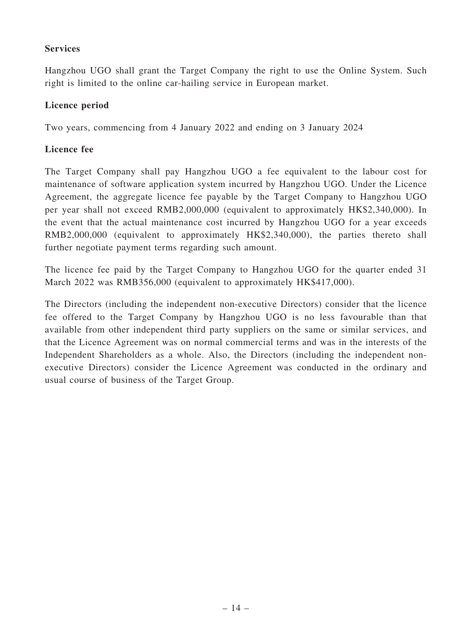### **Services**

Hangzhou UGO shall grant the Target Company the right to use the Online System. Such right is limited to the online car-hailing service in European market.

### Licence period

Two years, commencing from 4 January 2022 and ending on 3 January 2024

### Licence fee

The Target Company shall pay Hangzhou UGO a fee equivalent to the labour cost for maintenance of software application system incurred by Hangzhou UGO. Under the Licence Agreement, the aggregate licence fee payable by the Target Company to Hangzhou UGO per year shall not exceed RMB2,000,000 (equivalent to approximately HK\$2,340,000). In the event that the actual maintenance cost incurred by Hangzhou UGO for a year exceeds RMB2,000,000 (equivalent to approximately HK\$2,340,000), the parties thereto shall further negotiate payment terms regarding such amount.

The licence fee paid by the Target Company to Hangzhou UGO for the quarter ended 31 March 2022 was RMB356,000 (equivalent to approximately HK\$417,000).

The Directors (including the independent non-executive Directors) consider that the licence fee offered to the Target Company by Hangzhou UGO is no less favourable than that available from other independent third party suppliers on the same or similar services, and that the Licence Agreement was on normal commercial terms and was in the interests of the Independent Shareholders as a whole. Also, the Directors (including the independent nonexecutive Directors) consider the Licence Agreement was conducted in the ordinary and usual course of business of the Target Group.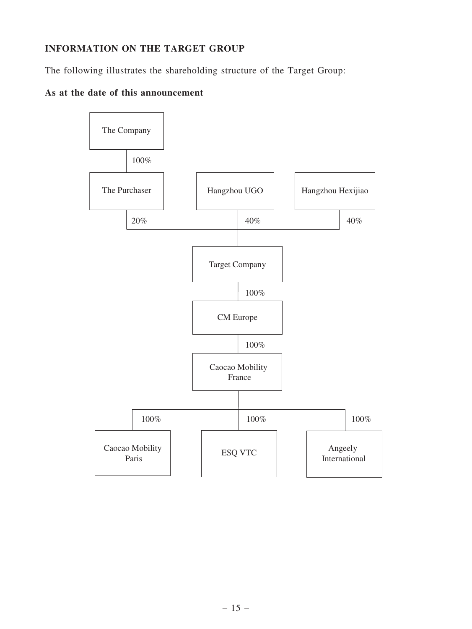# INFORMATION ON THE TARGET GROUP

The following illustrates the shareholding structure of the Target Group:

# As at the date of this announcement

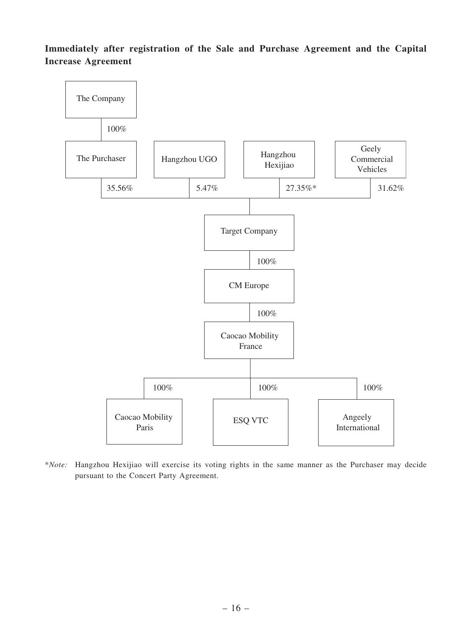Immediately after registration of the Sale and Purchase Agreement and the Capital Increase Agreement



\*Note: Hangzhou Hexijiao will exercise its voting rights in the same manner as the Purchaser may decide pursuant to the Concert Party Agreement.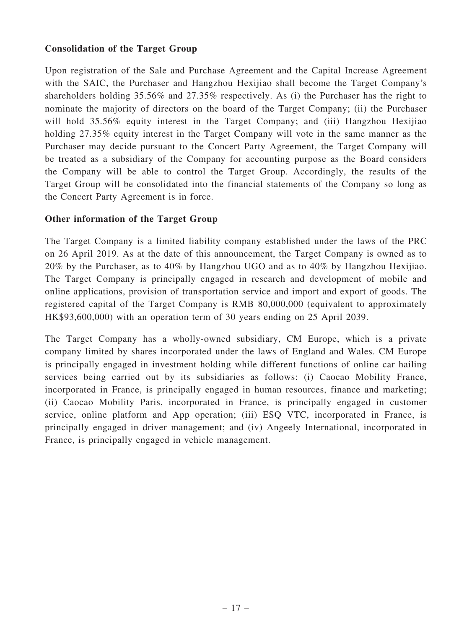### Consolidation of the Target Group

Upon registration of the Sale and Purchase Agreement and the Capital Increase Agreement with the SAIC, the Purchaser and Hangzhou Hexijiao shall become the Target Company's shareholders holding 35.56% and 27.35% respectively. As (i) the Purchaser has the right to nominate the majority of directors on the board of the Target Company; (ii) the Purchaser will hold 35.56% equity interest in the Target Company; and (iii) Hangzhou Hexijiao holding 27.35% equity interest in the Target Company will vote in the same manner as the Purchaser may decide pursuant to the Concert Party Agreement, the Target Company will be treated as a subsidiary of the Company for accounting purpose as the Board considers the Company will be able to control the Target Group. Accordingly, the results of the Target Group will be consolidated into the financial statements of the Company so long as the Concert Party Agreement is in force.

### Other information of the Target Group

The Target Company is a limited liability company established under the laws of the PRC on 26 April 2019. As at the date of this announcement, the Target Company is owned as to 20% by the Purchaser, as to 40% by Hangzhou UGO and as to 40% by Hangzhou Hexijiao. The Target Company is principally engaged in research and development of mobile and online applications, provision of transportation service and import and export of goods. The registered capital of the Target Company is RMB 80,000,000 (equivalent to approximately HK\$93,600,000) with an operation term of 30 years ending on 25 April 2039.

The Target Company has a wholly-owned subsidiary, CM Europe, which is a private company limited by shares incorporated under the laws of England and Wales. CM Europe is principally engaged in investment holding while different functions of online car hailing services being carried out by its subsidiaries as follows: (i) Caocao Mobility France, incorporated in France, is principally engaged in human resources, finance and marketing; (ii) Caocao Mobility Paris, incorporated in France, is principally engaged in customer service, online platform and App operation; (iii) ESQ VTC, incorporated in France, is principally engaged in driver management; and (iv) Angeely International, incorporated in France, is principally engaged in vehicle management.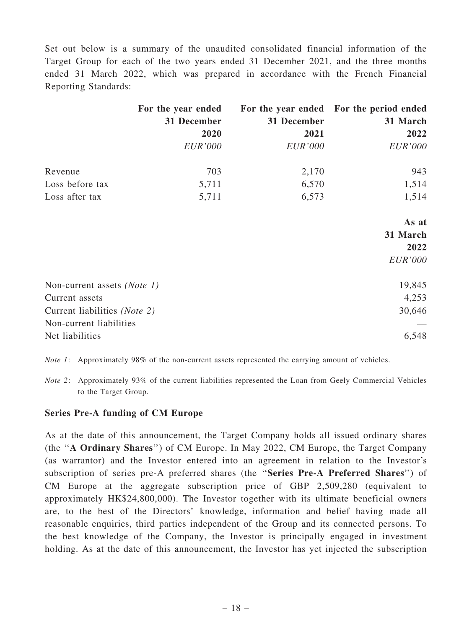Set out below is a summary of the unaudited consolidated financial information of the Target Group for each of the two years ended 31 December 2021, and the three months ended 31 March 2022, which was prepared in accordance with the French Financial Reporting Standards:

|                              | For the year ended |                | For the year ended For the period ended |
|------------------------------|--------------------|----------------|-----------------------------------------|
|                              | 31 December        | 31 December    | 31 March                                |
|                              | 2020               | 2021           | 2022                                    |
|                              | EUR'000            | <i>EUR'000</i> | <b>EUR'000</b>                          |
| Revenue                      | 703                | 2,170          | 943                                     |
| Loss before tax              | 5,711              | 6,570          | 1,514                                   |
| Loss after tax               | 5,711              | 6,573          | 1,514                                   |
|                              |                    |                | As at                                   |
|                              |                    |                | 31 March                                |
|                              |                    |                | 2022                                    |
|                              |                    |                | EUR'000                                 |
| Non-current assets (Note 1)  |                    |                | 19,845                                  |
| Current assets               |                    |                | 4,253                                   |
| Current liabilities (Note 2) |                    |                | 30,646                                  |
| Non-current liabilities      |                    |                |                                         |
| Net liabilities              |                    |                | 6,548                                   |

Note 1: Approximately 98% of the non-current assets represented the carrying amount of vehicles.

Note 2: Approximately 93% of the current liabilities represented the Loan from Geely Commercial Vehicles to the Target Group.

#### Series Pre-A funding of CM Europe

As at the date of this announcement, the Target Company holds all issued ordinary shares (the ''A Ordinary Shares'') of CM Europe. In May 2022, CM Europe, the Target Company (as warrantor) and the Investor entered into an agreement in relation to the Investor's subscription of series pre-A preferred shares (the ''Series Pre-A Preferred Shares'') of CM Europe at the aggregate subscription price of GBP 2,509,280 (equivalent to approximately HK\$24,800,000). The Investor together with its ultimate beneficial owners are, to the best of the Directors' knowledge, information and belief having made all reasonable enquiries, third parties independent of the Group and its connected persons. To the best knowledge of the Company, the Investor is principally engaged in investment holding. As at the date of this announcement, the Investor has yet injected the subscription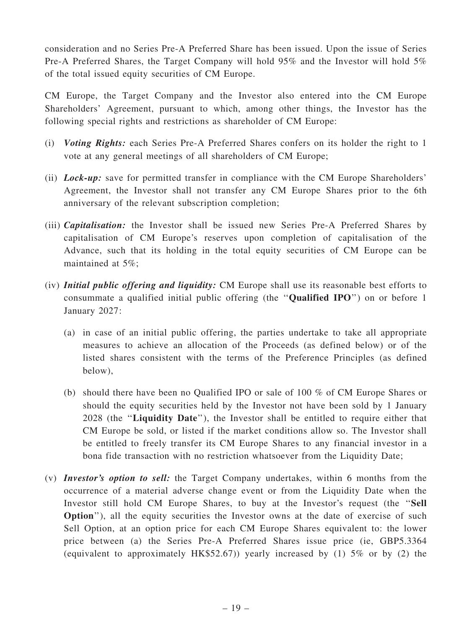consideration and no Series Pre-A Preferred Share has been issued. Upon the issue of Series Pre-A Preferred Shares, the Target Company will hold 95% and the Investor will hold 5% of the total issued equity securities of CM Europe.

CM Europe, the Target Company and the Investor also entered into the CM Europe Shareholders' Agreement, pursuant to which, among other things, the Investor has the following special rights and restrictions as shareholder of CM Europe:

- (i) Voting Rights: each Series Pre-A Preferred Shares confers on its holder the right to 1 vote at any general meetings of all shareholders of CM Europe;
- (ii) *Lock-up*: save for permitted transfer in compliance with the CM Europe Shareholders' Agreement, the Investor shall not transfer any CM Europe Shares prior to the 6th anniversary of the relevant subscription completion;
- (iii) Capitalisation: the Investor shall be issued new Series Pre-A Preferred Shares by capitalisation of CM Europe's reserves upon completion of capitalisation of the Advance, such that its holding in the total equity securities of CM Europe can be maintained at 5%;
- (iv) Initial public offering and liquidity: CM Europe shall use its reasonable best efforts to consummate a qualified initial public offering (the ''Qualified IPO'') on or before 1 January 2027:
	- (a) in case of an initial public offering, the parties undertake to take all appropriate measures to achieve an allocation of the Proceeds (as defined below) or of the listed shares consistent with the terms of the Preference Principles (as defined below),
	- (b) should there have been no Qualified IPO or sale of 100 % of CM Europe Shares or should the equity securities held by the Investor not have been sold by 1 January 2028 (the ''Liquidity Date''), the Investor shall be entitled to require either that CM Europe be sold, or listed if the market conditions allow so. The Investor shall be entitled to freely transfer its CM Europe Shares to any financial investor in a bona fide transaction with no restriction whatsoever from the Liquidity Date;
- (v) Investor's option to sell: the Target Company undertakes, within 6 months from the occurrence of a material adverse change event or from the Liquidity Date when the Investor still hold CM Europe Shares, to buy at the Investor's request (the ''Sell Option''), all the equity securities the Investor owns at the date of exercise of such Sell Option, at an option price for each CM Europe Shares equivalent to: the lower price between (a) the Series Pre-A Preferred Shares issue price (ie, GBP5.3364 (equivalent to approximately HK\$52.67)) yearly increased by (1) 5% or by (2) the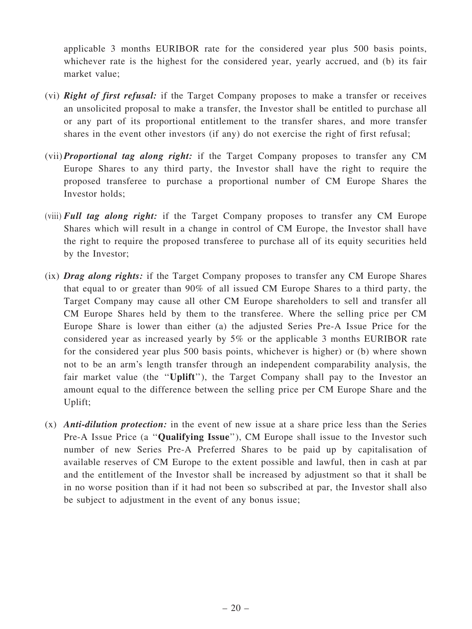applicable 3 months EURIBOR rate for the considered year plus 500 basis points, whichever rate is the highest for the considered year, yearly accrued, and (b) its fair market value;

- (vi) **Right of first refusal:** if the Target Company proposes to make a transfer or receives an unsolicited proposal to make a transfer, the Investor shall be entitled to purchase all or any part of its proportional entitlement to the transfer shares, and more transfer shares in the event other investors (if any) do not exercise the right of first refusal;
- (vii) Proportional tag along right: if the Target Company proposes to transfer any CM Europe Shares to any third party, the Investor shall have the right to require the proposed transferee to purchase a proportional number of CM Europe Shares the Investor holds;
- (viii) Full tag along right: if the Target Company proposes to transfer any CM Europe Shares which will result in a change in control of CM Europe, the Investor shall have the right to require the proposed transferee to purchase all of its equity securities held by the Investor;
- (ix) **Drag along rights:** if the Target Company proposes to transfer any CM Europe Shares that equal to or greater than 90% of all issued CM Europe Shares to a third party, the Target Company may cause all other CM Europe shareholders to sell and transfer all CM Europe Shares held by them to the transferee. Where the selling price per CM Europe Share is lower than either (a) the adjusted Series Pre-A Issue Price for the considered year as increased yearly by 5% or the applicable 3 months EURIBOR rate for the considered year plus 500 basis points, whichever is higher) or (b) where shown not to be an arm's length transfer through an independent comparability analysis, the fair market value (the "Uplift"), the Target Company shall pay to the Investor an amount equal to the difference between the selling price per CM Europe Share and the Uplift;
- $(x)$  Anti-dilution protection: in the event of new issue at a share price less than the Series Pre-A Issue Price (a "Qualifying Issue"), CM Europe shall issue to the Investor such number of new Series Pre-A Preferred Shares to be paid up by capitalisation of available reserves of CM Europe to the extent possible and lawful, then in cash at par and the entitlement of the Investor shall be increased by adjustment so that it shall be in no worse position than if it had not been so subscribed at par, the Investor shall also be subject to adjustment in the event of any bonus issue;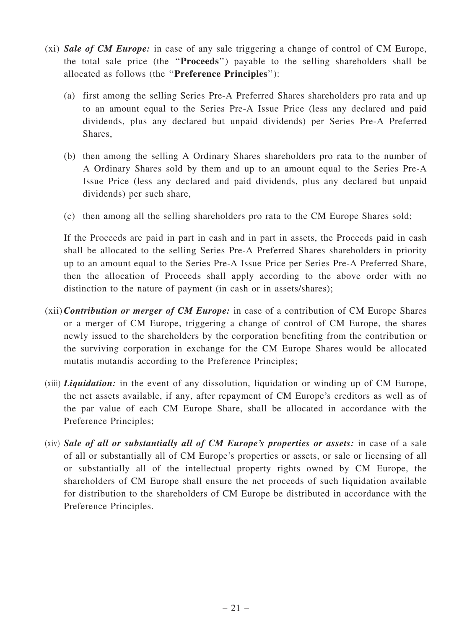- (xi) Sale of CM Europe: in case of any sale triggering a change of control of CM Europe, the total sale price (the ''Proceeds'') payable to the selling shareholders shall be allocated as follows (the ''Preference Principles''):
	- (a) first among the selling Series Pre-A Preferred Shares shareholders pro rata and up to an amount equal to the Series Pre-A Issue Price (less any declared and paid dividends, plus any declared but unpaid dividends) per Series Pre-A Preferred Shares,
	- (b) then among the selling A Ordinary Shares shareholders pro rata to the number of A Ordinary Shares sold by them and up to an amount equal to the Series Pre-A Issue Price (less any declared and paid dividends, plus any declared but unpaid dividends) per such share,
	- (c) then among all the selling shareholders pro rata to the CM Europe Shares sold;

If the Proceeds are paid in part in cash and in part in assets, the Proceeds paid in cash shall be allocated to the selling Series Pre-A Preferred Shares shareholders in priority up to an amount equal to the Series Pre-A Issue Price per Series Pre-A Preferred Share, then the allocation of Proceeds shall apply according to the above order with no distinction to the nature of payment (in cash or in assets/shares);

- $(xii)$  Contribution or merger of CM Europe: in case of a contribution of CM Europe Shares or a merger of CM Europe, triggering a change of control of CM Europe, the shares newly issued to the shareholders by the corporation benefiting from the contribution or the surviving corporation in exchange for the CM Europe Shares would be allocated mutatis mutandis according to the Preference Principles;
- $(xii)$  *Liquidation:* in the event of any dissolution, liquidation or winding up of CM Europe, the net assets available, if any, after repayment of CM Europe's creditors as well as of the par value of each CM Europe Share, shall be allocated in accordance with the Preference Principles;
- (xiv) Sale of all or substantially all of CM Europe's properties or assets: in case of a sale of all or substantially all of CM Europe's properties or assets, or sale or licensing of all or substantially all of the intellectual property rights owned by CM Europe, the shareholders of CM Europe shall ensure the net proceeds of such liquidation available for distribution to the shareholders of CM Europe be distributed in accordance with the Preference Principles.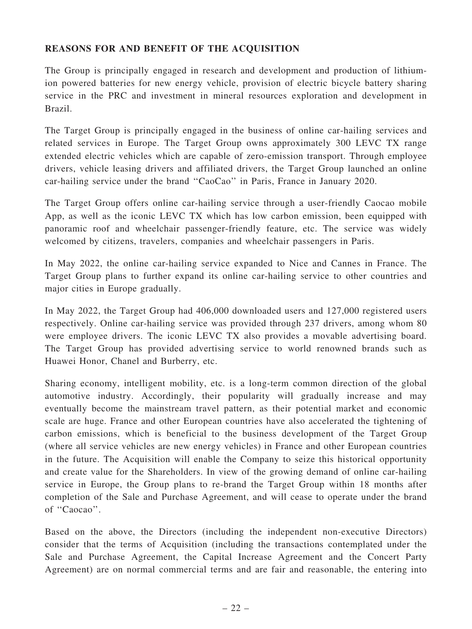### REASONS FOR AND BENEFIT OF THE ACQUISITION

The Group is principally engaged in research and development and production of lithiumion powered batteries for new energy vehicle, provision of electric bicycle battery sharing service in the PRC and investment in mineral resources exploration and development in Brazil.

The Target Group is principally engaged in the business of online car-hailing services and related services in Europe. The Target Group owns approximately 300 LEVC TX range extended electric vehicles which are capable of zero-emission transport. Through employee drivers, vehicle leasing drivers and affiliated drivers, the Target Group launched an online car-hailing service under the brand ''CaoCao'' in Paris, France in January 2020.

The Target Group offers online car-hailing service through a user-friendly Caocao mobile App, as well as the iconic LEVC TX which has low carbon emission, been equipped with panoramic roof and wheelchair passenger-friendly feature, etc. The service was widely welcomed by citizens, travelers, companies and wheelchair passengers in Paris.

In May 2022, the online car-hailing service expanded to Nice and Cannes in France. The Target Group plans to further expand its online car-hailing service to other countries and major cities in Europe gradually.

In May 2022, the Target Group had 406,000 downloaded users and 127,000 registered users respectively. Online car-hailing service was provided through 237 drivers, among whom 80 were employee drivers. The iconic LEVC TX also provides a movable advertising board. The Target Group has provided advertising service to world renowned brands such as Huawei Honor, Chanel and Burberry, etc.

Sharing economy, intelligent mobility, etc. is a long-term common direction of the global automotive industry. Accordingly, their popularity will gradually increase and may eventually become the mainstream travel pattern, as their potential market and economic scale are huge. France and other European countries have also accelerated the tightening of carbon emissions, which is beneficial to the business development of the Target Group (where all service vehicles are new energy vehicles) in France and other European countries in the future. The Acquisition will enable the Company to seize this historical opportunity and create value for the Shareholders. In view of the growing demand of online car-hailing service in Europe, the Group plans to re-brand the Target Group within 18 months after completion of the Sale and Purchase Agreement, and will cease to operate under the brand of "Caocao".

Based on the above, the Directors (including the independent non-executive Directors) consider that the terms of Acquisition (including the transactions contemplated under the Sale and Purchase Agreement, the Capital Increase Agreement and the Concert Party Agreement) are on normal commercial terms and are fair and reasonable, the entering into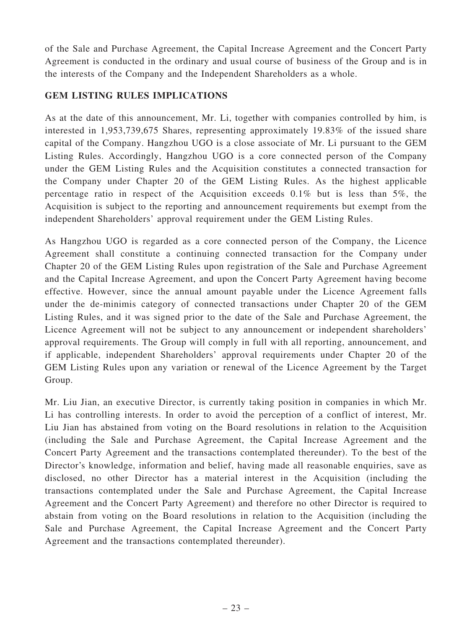of the Sale and Purchase Agreement, the Capital Increase Agreement and the Concert Party Agreement is conducted in the ordinary and usual course of business of the Group and is in the interests of the Company and the Independent Shareholders as a whole.

# GEM LISTING RULES IMPLICATIONS

As at the date of this announcement, Mr. Li, together with companies controlled by him, is interested in 1,953,739,675 Shares, representing approximately 19.83% of the issued share capital of the Company. Hangzhou UGO is a close associate of Mr. Li pursuant to the GEM Listing Rules. Accordingly, Hangzhou UGO is a core connected person of the Company under the GEM Listing Rules and the Acquisition constitutes a connected transaction for the Company under Chapter 20 of the GEM Listing Rules. As the highest applicable percentage ratio in respect of the Acquisition exceeds 0.1% but is less than 5%, the Acquisition is subject to the reporting and announcement requirements but exempt from the independent Shareholders' approval requirement under the GEM Listing Rules.

As Hangzhou UGO is regarded as a core connected person of the Company, the Licence Agreement shall constitute a continuing connected transaction for the Company under Chapter 20 of the GEM Listing Rules upon registration of the Sale and Purchase Agreement and the Capital Increase Agreement, and upon the Concert Party Agreement having become effective. However, since the annual amount payable under the Licence Agreement falls under the de-minimis category of connected transactions under Chapter 20 of the GEM Listing Rules, and it was signed prior to the date of the Sale and Purchase Agreement, the Licence Agreement will not be subject to any announcement or independent shareholders' approval requirements. The Group will comply in full with all reporting, announcement, and if applicable, independent Shareholders' approval requirements under Chapter 20 of the GEM Listing Rules upon any variation or renewal of the Licence Agreement by the Target Group.

Mr. Liu Jian, an executive Director, is currently taking position in companies in which Mr. Li has controlling interests. In order to avoid the perception of a conflict of interest, Mr. Liu Jian has abstained from voting on the Board resolutions in relation to the Acquisition (including the Sale and Purchase Agreement, the Capital Increase Agreement and the Concert Party Agreement and the transactions contemplated thereunder). To the best of the Director's knowledge, information and belief, having made all reasonable enquiries, save as disclosed, no other Director has a material interest in the Acquisition (including the transactions contemplated under the Sale and Purchase Agreement, the Capital Increase Agreement and the Concert Party Agreement) and therefore no other Director is required to abstain from voting on the Board resolutions in relation to the Acquisition (including the Sale and Purchase Agreement, the Capital Increase Agreement and the Concert Party Agreement and the transactions contemplated thereunder).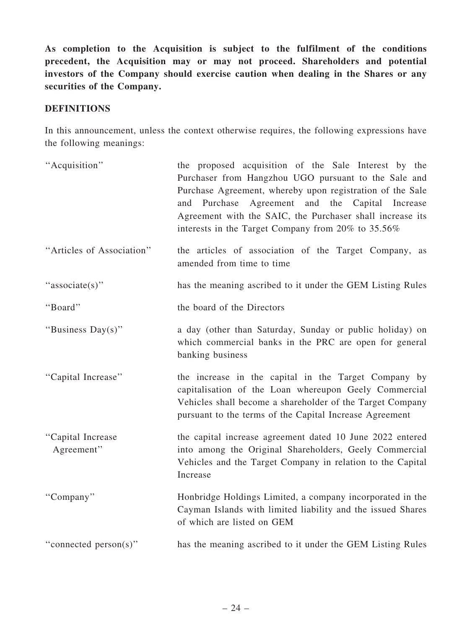As completion to the Acquisition is subject to the fulfilment of the conditions precedent, the Acquisition may or may not proceed. Shareholders and potential investors of the Company should exercise caution when dealing in the Shares or any securities of the Company.

### **DEFINITIONS**

In this announcement, unless the context otherwise requires, the following expressions have the following meanings:

| "Acquisition"                   | the proposed acquisition of the Sale Interest by the<br>Purchaser from Hangzhou UGO pursuant to the Sale and<br>Purchase Agreement, whereby upon registration of the Sale<br>Agreement and the Capital<br>Purchase<br>and<br>Increase<br>Agreement with the SAIC, the Purchaser shall increase its<br>interests in the Target Company from 20% to 35.56% |
|---------------------------------|----------------------------------------------------------------------------------------------------------------------------------------------------------------------------------------------------------------------------------------------------------------------------------------------------------------------------------------------------------|
| "Articles of Association"       | the articles of association of the Target Company, as<br>amended from time to time                                                                                                                                                                                                                                                                       |
| "associate(s)"                  | has the meaning ascribed to it under the GEM Listing Rules                                                                                                                                                                                                                                                                                               |
| "Board"                         | the board of the Directors                                                                                                                                                                                                                                                                                                                               |
| "Business Day(s)"               | a day (other than Saturday, Sunday or public holiday) on<br>which commercial banks in the PRC are open for general<br>banking business                                                                                                                                                                                                                   |
| "Capital Increase"              | the increase in the capital in the Target Company by<br>capitalisation of the Loan whereupon Geely Commercial<br>Vehicles shall become a shareholder of the Target Company<br>pursuant to the terms of the Capital Increase Agreement                                                                                                                    |
| "Capital Increase<br>Agreement" | the capital increase agreement dated 10 June 2022 entered<br>into among the Original Shareholders, Geely Commercial<br>Vehicles and the Target Company in relation to the Capital<br>Increase                                                                                                                                                            |
| "Company"                       | Honbridge Holdings Limited, a company incorporated in the<br>Cayman Islands with limited liability and the issued Shares<br>of which are listed on GEM                                                                                                                                                                                                   |
| "connected person(s)"           | has the meaning ascribed to it under the GEM Listing Rules                                                                                                                                                                                                                                                                                               |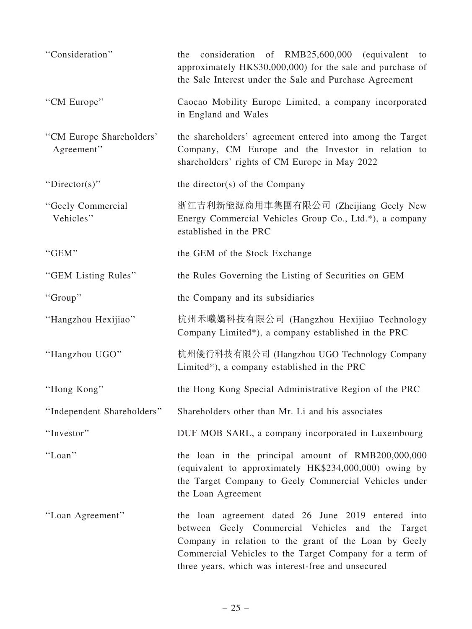| "Consideration"                        | consideration of RMB25,600,000 (equivalent<br>the<br>to<br>approximately HK\$30,000,000) for the sale and purchase of<br>the Sale Interest under the Sale and Purchase Agreement                                                                                                 |
|----------------------------------------|----------------------------------------------------------------------------------------------------------------------------------------------------------------------------------------------------------------------------------------------------------------------------------|
| "CM Europe"                            | Caocao Mobility Europe Limited, a company incorporated<br>in England and Wales                                                                                                                                                                                                   |
| "CM Europe Shareholders"<br>Agreement" | the shareholders' agreement entered into among the Target<br>Company, CM Europe and the Investor in relation to<br>shareholders' rights of CM Europe in May 2022                                                                                                                 |
| "Director(s)"                          | the director(s) of the Company                                                                                                                                                                                                                                                   |
| "Geely Commercial<br>Vehicles"         | 浙江吉利新能源商用車集團有限公司 (Zheijiang Geely New<br>Energy Commercial Vehicles Group Co., Ltd.*), a company<br>established in the PRC                                                                                                                                                       |
| "GEM"                                  | the GEM of the Stock Exchange                                                                                                                                                                                                                                                    |
| "GEM Listing Rules"                    | the Rules Governing the Listing of Securities on GEM                                                                                                                                                                                                                             |
| "Group"                                | the Company and its subsidiaries                                                                                                                                                                                                                                                 |
| "Hangzhou Hexijiao"                    | 杭州禾曦嬌科技有限公司 (Hangzhou Hexijiao Technology<br>Company Limited*), a company established in the PRC                                                                                                                                                                                 |
| "Hangzhou UGO"                         | 杭州優行科技有限公司 (Hangzhou UGO Technology Company<br>Limited*), a company established in the PRC                                                                                                                                                                                       |
| "Hong Kong"                            | the Hong Kong Special Administrative Region of the PRC                                                                                                                                                                                                                           |
| "Independent Shareholders"             | Shareholders other than Mr. Li and his associates                                                                                                                                                                                                                                |
| "Investor"                             | DUF MOB SARL, a company incorporated in Luxembourg                                                                                                                                                                                                                               |
| "Loan"                                 | the loan in the principal amount of RMB200,000,000<br>(equivalent to approximately HK\$234,000,000) owing by<br>the Target Company to Geely Commercial Vehicles under<br>the Loan Agreement                                                                                      |
| "Loan Agreement"                       | the loan agreement dated 26 June 2019 entered into<br>between Geely Commercial Vehicles and the Target<br>Company in relation to the grant of the Loan by Geely<br>Commercial Vehicles to the Target Company for a term of<br>three years, which was interest-free and unsecured |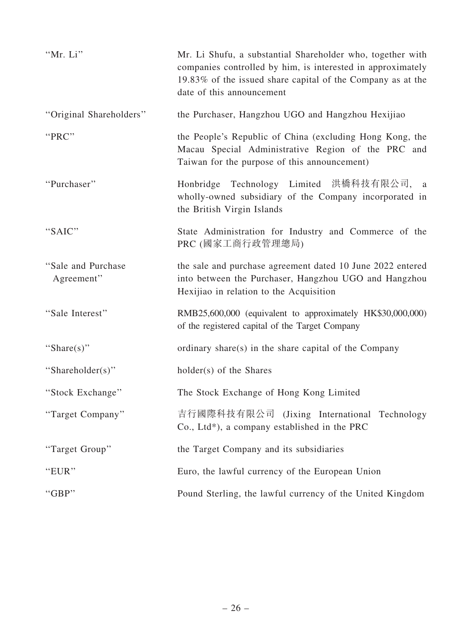| "Mr. Li"                          | Mr. Li Shufu, a substantial Shareholder who, together with<br>companies controlled by him, is interested in approximately<br>19.83% of the issued share capital of the Company as at the<br>date of this announcement |
|-----------------------------------|-----------------------------------------------------------------------------------------------------------------------------------------------------------------------------------------------------------------------|
| "Original Shareholders"           | the Purchaser, Hangzhou UGO and Hangzhou Hexijiao                                                                                                                                                                     |
| "PRC"                             | the People's Republic of China (excluding Hong Kong, the<br>Macau Special Administrative Region of the PRC and<br>Taiwan for the purpose of this announcement)                                                        |
| "Purchaser"                       | Honbridge Technology Limited 洪橋科技有限公司, a<br>wholly-owned subsidiary of the Company incorporated in<br>the British Virgin Islands                                                                                      |
| "SAIC"                            | State Administration for Industry and Commerce of the<br>PRC (國家工商行政管理總局)                                                                                                                                             |
| "Sale and Purchase"<br>Agreement" | the sale and purchase agreement dated 10 June 2022 entered<br>into between the Purchaser, Hangzhou UGO and Hangzhou<br>Hexijiao in relation to the Acquisition                                                        |
| "Sale Interest"                   | RMB25,600,000 (equivalent to approximately HK\$30,000,000)<br>of the registered capital of the Target Company                                                                                                         |
| "Share $(s)$ "                    | ordinary share(s) in the share capital of the Company                                                                                                                                                                 |
| "Shareholder(s)"                  | holder(s) of the Shares                                                                                                                                                                                               |
| "Stock Exchange"                  | The Stock Exchange of Hong Kong Limited                                                                                                                                                                               |
| "Target Company"                  | 吉行國際科技有限公司<br>(Jixing International Technology<br>Co., Ltd*), a company established in the PRC                                                                                                                        |
| "Target Group"                    | the Target Company and its subsidiaries                                                                                                                                                                               |
| "EUR"                             | Euro, the lawful currency of the European Union                                                                                                                                                                       |
| "GBP"                             | Pound Sterling, the lawful currency of the United Kingdom                                                                                                                                                             |